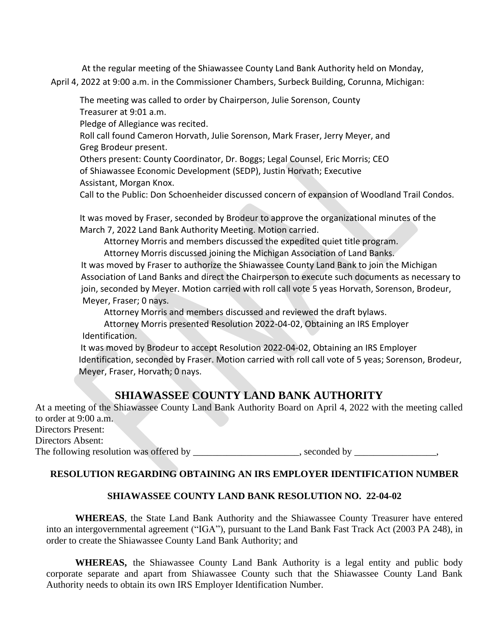At the regular meeting of the Shiawassee County Land Bank Authority held on Monday, April 4, 2022 at 9:00 a.m. in the Commissioner Chambers, Surbeck Building, Corunna, Michigan:

The meeting was called to order by Chairperson, Julie Sorenson, County Treasurer at 9:01 a.m.

Pledge of Allegiance was recited.

Roll call found Cameron Horvath, Julie Sorenson, Mark Fraser, Jerry Meyer, and Greg Brodeur present.

Others present: County Coordinator, Dr. Boggs; Legal Counsel, Eric Morris; CEO of Shiawassee Economic Development (SEDP), Justin Horvath; Executive Assistant, Morgan Knox.

Call to the Public: Don Schoenheider discussed concern of expansion of Woodland Trail Condos.

It was moved by Fraser, seconded by Brodeur to approve the organizational minutes of the March 7, 2022 Land Bank Authority Meeting. Motion carried.

Attorney Morris and members discussed the expedited quiet title program.

Attorney Morris discussed joining the Michigan Association of Land Banks.

It was moved by Fraser to authorize the Shiawassee County Land Bank to join the Michigan Association of Land Banks and direct the Chairperson to execute such documents as necessary to join, seconded by Meyer. Motion carried with roll call vote 5 yeas Horvath, Sorenson, Brodeur, Meyer, Fraser; 0 nays.

Attorney Morris and members discussed and reviewed the draft bylaws.

Attorney Morris presented Resolution 2022-04-02, Obtaining an IRS Employer Identification.

It was moved by Brodeur to accept Resolution 2022-04-02, Obtaining an IRS Employer Identification, seconded by Fraser. Motion carried with roll call vote of 5 yeas; Sorenson, Brodeur, Meyer, Fraser, Horvath; 0 nays.

## **SHIAWASSEE COUNTY LAND BANK AUTHORITY**

At a meeting of the Shiawassee County Land Bank Authority Board on April 4, 2022 with the meeting called to order at 9:00 a.m. Directors Present: Directors Absent:

The following resolution was offered by \_\_\_\_\_\_\_\_\_\_\_\_\_\_\_\_\_\_, seconded by \_\_\_\_\_\_\_\_\_

## **RESOLUTION REGARDING OBTAINING AN IRS EMPLOYER IDENTIFICATION NUMBER**

## **SHIAWASSEE COUNTY LAND BANK RESOLUTION NO. 22-04-02**

**WHEREAS**, the State Land Bank Authority and the Shiawassee County Treasurer have entered into an intergovernmental agreement ("IGA"), pursuant to the Land Bank Fast Track Act (2003 PA 248), in order to create the Shiawassee County Land Bank Authority; and

**WHEREAS,** the Shiawassee County Land Bank Authority is a legal entity and public body corporate separate and apart from Shiawassee County such that the Shiawassee County Land Bank Authority needs to obtain its own IRS Employer Identification Number.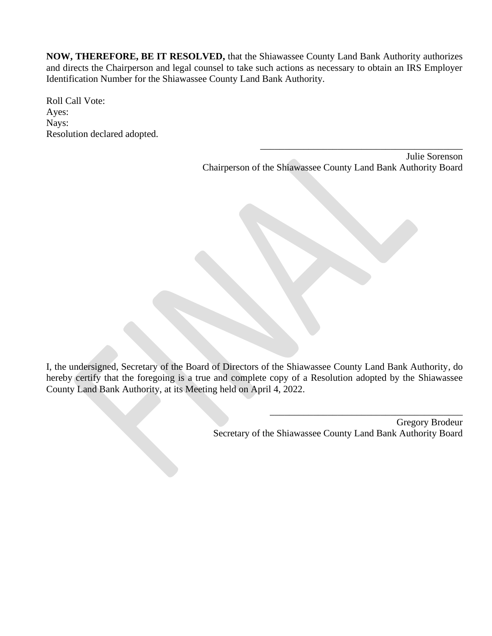**NOW, THEREFORE, BE IT RESOLVED,** that the Shiawassee County Land Bank Authority authorizes and directs the Chairperson and legal counsel to take such actions as necessary to obtain an IRS Employer Identification Number for the Shiawassee County Land Bank Authority.

Roll Call Vote: Ayes: Nays: Resolution declared adopted.

> Julie Sorenson Chairperson of the Shiawassee County Land Bank Authority Board

\_\_\_\_\_\_\_\_\_\_\_\_\_\_\_\_\_\_\_\_\_\_\_\_\_\_\_\_\_\_\_\_\_\_\_\_\_\_\_\_\_\_

I, the undersigned, Secretary of the Board of Directors of the Shiawassee County Land Bank Authority, do hereby certify that the foregoing is a true and complete copy of a Resolution adopted by the Shiawassee County Land Bank Authority, at its Meeting held on April 4, 2022.

> Gregory Brodeur Secretary of the Shiawassee County Land Bank Authority Board

\_\_\_\_\_\_\_\_\_\_\_\_\_\_\_\_\_\_\_\_\_\_\_\_\_\_\_\_\_\_\_\_\_\_\_\_\_\_\_\_